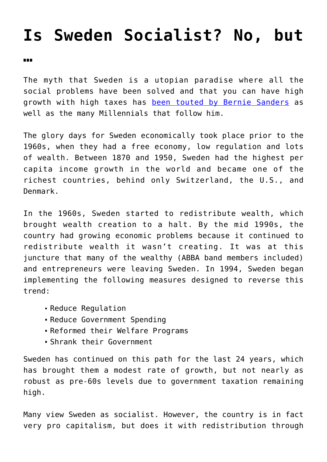## **[Is Sweden Socialist? No, but](https://intellectualtakeout.org/2018/03/is-sweden-socialist-no-but/)**

## **[…](https://intellectualtakeout.org/2018/03/is-sweden-socialist-no-but/)**

The myth that Sweden is a utopian paradise where all the social problems have been solved and that you can have high growth with high taxes has [been touted by Bernie Sanders](https://www.pri.org/stories/2016-02-09/bernie-sanders-wants-us-be-more-equitable-sweden-could-it-work) as well as the many Millennials that follow him.

The glory days for Sweden economically took place prior to the 1960s, when they had a free economy, low regulation and lots of wealth. Between 1870 and 1950, Sweden had the highest per capita income growth in the world and became one of the richest countries, behind only Switzerland, the U.S., and Denmark.

In the 1960s, Sweden started to redistribute wealth, which brought wealth creation to a halt. By the mid 1990s, the country had growing economic problems because it continued to redistribute wealth it wasn't creating. It was at this juncture that many of the wealthy (ABBA band members included) and entrepreneurs were leaving Sweden. In 1994, Sweden began implementing the following measures designed to reverse this trend:

- Reduce Regulation
- Reduce Government Spending
- Reformed their Welfare Programs
- Shrank their Government

Sweden has continued on this path for the last 24 years, which has brought them a modest rate of growth, but not nearly as robust as pre-60s levels due to government taxation remaining high.

Many view Sweden as socialist. However, the country is in fact very pro capitalism, but does it with redistribution through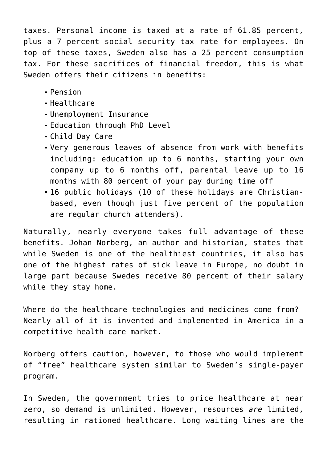taxes. Personal income is taxed at a rate of 61.85 percent, plus a 7 percent social security tax rate for employees. On top of these taxes, Sweden also has a 25 percent consumption tax. For these sacrifices of financial freedom, this is what Sweden offers their citizens in benefits:

- Pension
- Healthcare
- Unemployment Insurance
- Education through PhD Level
- Child Day Care
- Very generous leaves of absence from work with benefits including: education up to 6 months, starting your own company up to 6 months off, parental leave up to 16 months with 80 percent of your pay during time off
- 16 public holidays (10 of these holidays are Christianbased, even though just five percent of the population are regular church attenders).

Naturally, nearly everyone takes full advantage of these benefits. Johan Norberg, an author and historian, states that while Sweden is one of the healthiest countries, it also has one of the highest rates of sick leave in Europe, no doubt in large part because Swedes receive 80 percent of their salary while they stay home.

Where do the healthcare technologies and medicines come from? Nearly all of it is invented and implemented in America in a competitive health care market.

Norberg offers caution, however, to those who would implement of "free" healthcare system similar to Sweden's single-payer program.

In Sweden, the government tries to price healthcare at near zero, so demand is unlimited. However, resources *are* limited, resulting in rationed healthcare. Long waiting lines are the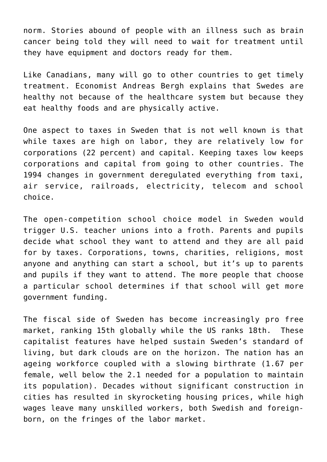norm. Stories abound of people with an illness such as brain cancer being told they will need to wait for treatment until they have equipment and doctors ready for them.

Like Canadians, many will go to other countries to get timely treatment. Economist Andreas Bergh explains that Swedes are healthy not because of the healthcare system but because they eat healthy foods and are physically active.

One aspect to taxes in Sweden that is not well known is that while taxes are high on labor, they are relatively low for corporations (22 percent) and capital. Keeping taxes low keeps corporations and capital from going to other countries. The 1994 changes in government deregulated everything from taxi, air service, railroads, electricity, telecom and school choice.

The open-competition school choice model in Sweden would trigger U.S. teacher unions into a froth. Parents and pupils decide what school they want to attend and they are all paid for by taxes. Corporations, towns, charities, religions, most anyone and anything can start a school, but it's up to parents and pupils if they want to attend. The more people that choose a particular school determines if that school will get more government funding.

The fiscal side of Sweden has become increasingly pro free market, ranking 15th globally while the US ranks 18th. These capitalist features have helped sustain Sweden's standard of living, but dark clouds are on the horizon. The nation has an ageing workforce coupled with a slowing birthrate (1.67 per female, well below the 2.1 needed for a population to maintain its population). Decades without significant construction in cities has resulted in skyrocketing housing prices, while high wages leave many unskilled workers, both Swedish and foreignborn, on the fringes of the labor market.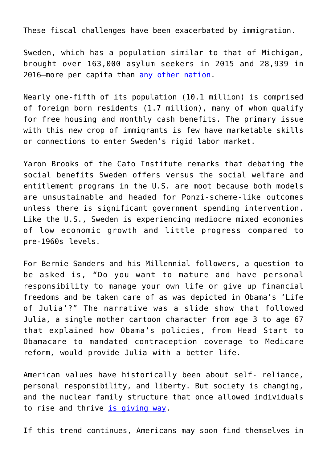These fiscal challenges have been exacerbated by immigration.

Sweden, which has a population similar to that of Michigan, brought over 163,000 asylum seekers in 2015 and 28,939 in 2016—more per capita than [any other nation.](https://www.pri.org/stories/2017-09-11/sweden-was-among-best-countries-immigrants-thats-changing)

Nearly one-fifth of its population (10.1 million) is comprised of foreign born residents (1.7 million), many of whom qualify for free housing and monthly cash benefits. The primary issue with this new crop of immigrants is few have marketable skills or connections to enter Sweden's rigid labor market.

Yaron Brooks of the Cato Institute remarks that debating the social benefits Sweden offers versus the social welfare and entitlement programs in the U.S. are moot because both models are unsustainable and headed for Ponzi-scheme-like outcomes unless there is significant government spending intervention. Like the U.S., Sweden is experiencing mediocre mixed economies of low economic growth and little progress compared to pre-1960s levels.

For Bernie Sanders and his Millennial followers, a question to be asked is, "Do you want to mature and have personal responsibility to manage your own life or give up financial freedoms and be taken care of as was depicted in Obama's 'Life of Julia'?" The narrative was a slide show that followed Julia, a single mother cartoon character from age 3 to age 67 that explained how Obama's policies, from Head Start to Obamacare to mandated contraception coverage to Medicare reform, would provide Julia with a better life.

American values have historically been about self- reliance, personal responsibility, and liberty. But society is changing, and the nuclear family structure that once allowed individuals to rise and thrive [is giving way.](https://www.washingtonpost.com/news/wonk/wp/2014/12/18/the-unbelievable-rise-of-single-motherhood-in-america-over-the-last-50-years/?utm_term=.d34f752e44ec)

If this trend continues, Americans may soon find themselves in